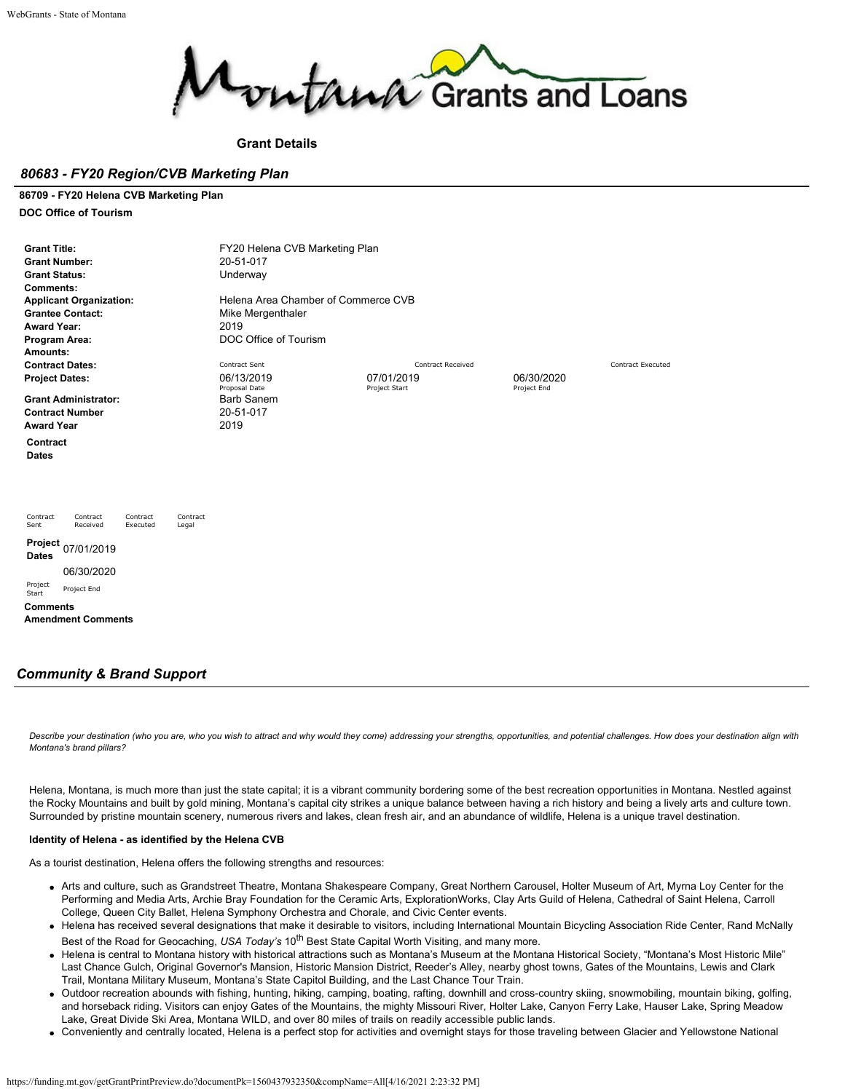

## **Grant Details**

## *80683 - FY20 Region/CVB Marketing Plan*

**86709 - FY20 Helena CVB Marketing Plan**

**DOC Office of Tourism**

| <b>Grant Title:</b><br><b>Grant Number:</b><br><b>Grant Status:</b><br><b>Comments:</b><br><b>Applicant Organization:</b><br><b>Grantee Contact:</b><br><b>Award Year:</b><br>Program Area:<br>Amounts: | FY20 Helena CVB Marketing Plan<br>20-51-017<br>Underway<br>Helena Area Chamber of Commerce CVB<br>Mike Mergenthaler<br>2019<br>DOC Office of Tourism |                          |             |                          |
|---------------------------------------------------------------------------------------------------------------------------------------------------------------------------------------------------------|------------------------------------------------------------------------------------------------------------------------------------------------------|--------------------------|-------------|--------------------------|
| <b>Contract Dates:</b>                                                                                                                                                                                  | Contract Sent                                                                                                                                        | <b>Contract Received</b> |             | <b>Contract Executed</b> |
| <b>Project Dates:</b>                                                                                                                                                                                   | 06/13/2019                                                                                                                                           | 07/01/2019               | 06/30/2020  |                          |
| <b>Grant Administrator:</b><br><b>Contract Number</b><br><b>Award Year</b>                                                                                                                              | Proposal Date<br><b>Barb Sanem</b><br>20-51-017<br>2019                                                                                              | Project Start            | Project End |                          |
| Contract<br><b>Dates</b>                                                                                                                                                                                |                                                                                                                                                      |                          |             |                          |
| Contract<br>Contract<br>Contract<br>Contract<br>Sent<br>Received<br>Executed<br>Legal                                                                                                                   |                                                                                                                                                      |                          |             |                          |
| Project<br>07/01/2019<br><b>Dates</b>                                                                                                                                                                   |                                                                                                                                                      |                          |             |                          |
| 06/30/2020                                                                                                                                                                                              |                                                                                                                                                      |                          |             |                          |
| Project<br>Project End<br>Start                                                                                                                                                                         |                                                                                                                                                      |                          |             |                          |
| <b>Comments</b><br><b>Amendment Comments</b>                                                                                                                                                            |                                                                                                                                                      |                          |             |                          |

# *Community & Brand Support*

*Describe your destination (who you are, who you wish to attract and why would they come) addressing your strengths, opportunities, and potential challenges. How does your destination align with Montana's brand pillars?*

Helena, Montana, is much more than just the state capital; it is a vibrant community bordering some of the best recreation opportunities in Montana. Nestled against the Rocky Mountains and built by gold mining, Montana's capital city strikes a unique balance between having a rich history and being a lively arts and culture town. Surrounded by pristine mountain scenery, numerous rivers and lakes, clean fresh air, and an abundance of wildlife, Helena is a unique travel destination.

## **Identity of Helena - as identified by the Helena CVB**

As a tourist destination, Helena offers the following strengths and resources:

- Arts and culture, such as Grandstreet Theatre, Montana Shakespeare Company, Great Northern Carousel, Holter Museum of Art, Myrna Loy Center for the Performing and Media Arts, Archie Bray Foundation for the Ceramic Arts, ExplorationWorks, Clay Arts Guild of Helena, Cathedral of Saint Helena, Carroll College, Queen City Ballet, Helena Symphony Orchestra and Chorale, and Civic Center events.
- Helena has received several designations that make it desirable to visitors, including International Mountain Bicycling Association Ride Center, Rand McNally Best of the Road for Geocaching, USA Today's 10<sup>th</sup> Best State Capital Worth Visiting, and many more.
- Helena is central to Montana history with historical attractions such as Montana's Museum at the Montana Historical Society, "Montana's Most Historic Mile" Last Chance Gulch, Original Governor's Mansion, Historic Mansion District, Reeder's Alley, nearby ghost towns, Gates of the Mountains, Lewis and Clark Trail, Montana Military Museum, Montana's State Capitol Building, and the Last Chance Tour Train.
- Outdoor recreation abounds with fishing, hunting, hiking, camping, boating, rafting, downhill and cross-country skiing, snowmobiling, mountain biking, golfing, and horseback riding. Visitors can enjoy Gates of the Mountains, the mighty Missouri River, Holter Lake, Canyon Ferry Lake, Hauser Lake, Spring Meadow Lake, Great Divide Ski Area, Montana WILD, and over 80 miles of trails on readily accessible public lands.
- Conveniently and centrally located, Helena is a perfect stop for activities and overnight stays for those traveling between Glacier and Yellowstone National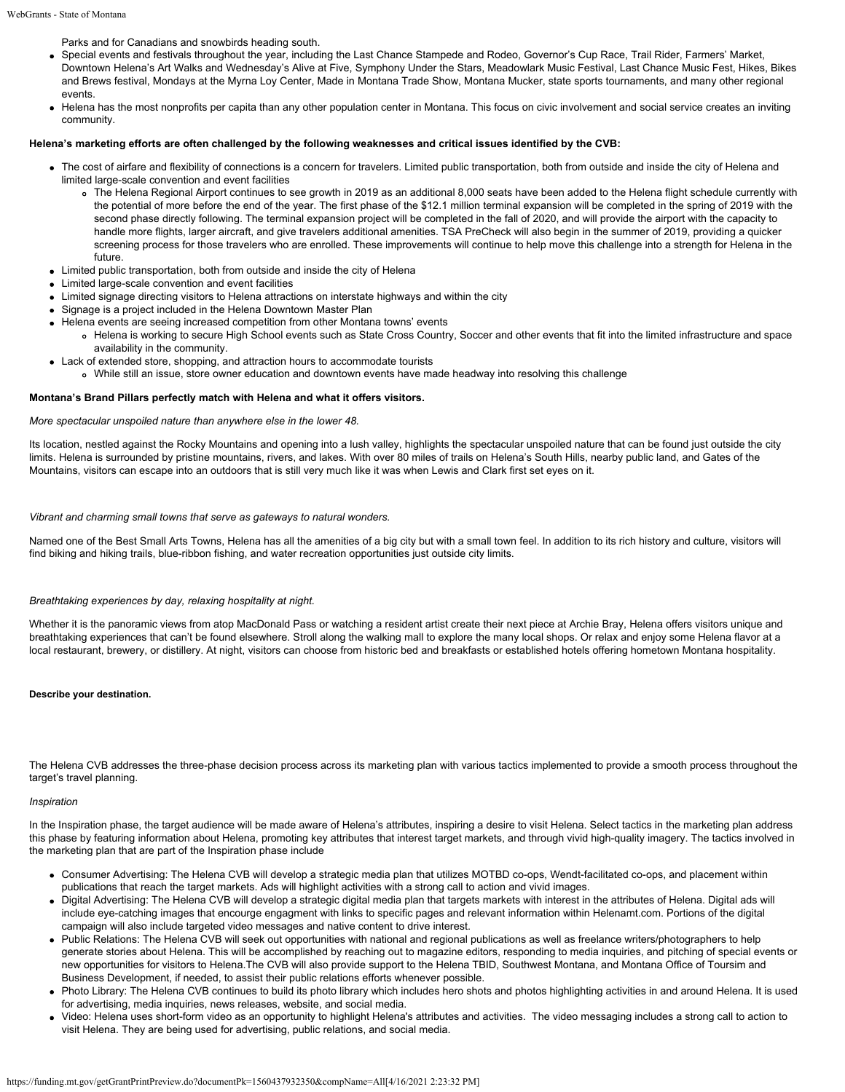Parks and for Canadians and snowbirds heading south.

- Special events and festivals throughout the year, including the Last Chance Stampede and Rodeo, Governor's Cup Race, Trail Rider, Farmers' Market, Downtown Helena's Art Walks and Wednesday's Alive at Five, Symphony Under the Stars, Meadowlark Music Festival, Last Chance Music Fest, Hikes, Bikes and Brews festival, Mondays at the Myrna Loy Center, Made in Montana Trade Show, Montana Mucker, state sports tournaments, and many other regional events.
- Helena has the most nonprofits per capita than any other population center in Montana. This focus on civic involvement and social service creates an inviting community.

## **Helena's marketing efforts are often challenged by the following weaknesses and critical issues identified by the CVB:**

- The cost of airfare and flexibility of connections is a concern for travelers. Limited public transportation, both from outside and inside the city of Helena and limited large-scale convention and event facilities
	- The Helena Regional Airport continues to see growth in 2019 as an additional 8,000 seats have been added to the Helena flight schedule currently with the potential of more before the end of the year. The first phase of the \$12.1 million terminal expansion will be completed in the spring of 2019 with the second phase directly following. The terminal expansion project will be completed in the fall of 2020, and will provide the airport with the capacity to handle more flights, larger aircraft, and give travelers additional amenities. TSA PreCheck will also begin in the summer of 2019, providing a quicker screening process for those travelers who are enrolled. These improvements will continue to help move this challenge into a strength for Helena in the future.
- Limited public transportation, both from outside and inside the city of Helena
- Limited large-scale convention and event facilities
- Limited signage directing visitors to Helena attractions on interstate highways and within the city
- Signage is a project included in the Helena Downtown Master Plan
- Helena events are seeing increased competition from other Montana towns' events
	- Helena is working to secure High School events such as State Cross Country, Soccer and other events that fit into the limited infrastructure and space availability in the community.
- Lack of extended store, shopping, and attraction hours to accommodate tourists
	- While still an issue, store owner education and downtown events have made headway into resolving this challenge

#### **Montana's Brand Pillars perfectly match with Helena and what it offers visitors.**

#### *More spectacular unspoiled nature than anywhere else in the lower 48.*

Its location, nestled against the Rocky Mountains and opening into a lush valley, highlights the spectacular unspoiled nature that can be found just outside the city limits. Helena is surrounded by pristine mountains, rivers, and lakes. With over 80 miles of trails on Helena's South Hills, nearby public land, and Gates of the Mountains, visitors can escape into an outdoors that is still very much like it was when Lewis and Clark first set eyes on it.

## *Vibrant and charming small towns that serve as gateways to natural wonders.*

Named one of the Best Small Arts Towns, Helena has all the amenities of a big city but with a small town feel. In addition to its rich history and culture, visitors will find biking and hiking trails, blue-ribbon fishing, and water recreation opportunities just outside city limits.

### *Breathtaking experiences by day, relaxing hospitality at night.*

Whether it is the panoramic views from atop MacDonald Pass or watching a resident artist create their next piece at Archie Bray, Helena offers visitors unique and breathtaking experiences that can't be found elsewhere. Stroll along the walking mall to explore the many local shops. Or relax and enjoy some Helena flavor at a local restaurant, brewery, or distillery. At night, visitors can choose from historic bed and breakfasts or established hotels offering hometown Montana hospitality.

### **Describe your destination.**

The Helena CVB addresses the three-phase decision process across its marketing plan with various tactics implemented to provide a smooth process throughout the target's travel planning.

#### *Inspiration*

In the Inspiration phase, the target audience will be made aware of Helena's attributes, inspiring a desire to visit Helena. Select tactics in the marketing plan address this phase by featuring information about Helena, promoting key attributes that interest target markets, and through vivid high-quality imagery. The tactics involved in the marketing plan that are part of the Inspiration phase include

- Consumer Advertising: The Helena CVB will develop a strategic media plan that utilizes MOTBD co-ops, Wendt-facilitated co-ops, and placement within publications that reach the target markets. Ads will highlight activities with a strong call to action and vivid images.
- Digital Advertising: The Helena CVB will develop a strategic digital media plan that targets markets with interest in the attributes of Helena. Digital ads will include eye-catching images that encourge engagment with links to specific pages and relevant information within Helenamt.com. Portions of the digital campaign will also include targeted video messages and native content to drive interest.
- Public Relations: The Helena CVB will seek out opportunities with national and regional publications as well as freelance writers/photographers to help generate stories about Helena. This will be accomplished by reaching out to magazine editors, responding to media inquiries, and pitching of special events or new opportunities for visitors to Helena.The CVB will also provide support to the Helena TBID, Southwest Montana, and Montana Office of Toursim and Business Development, if needed, to assist their public relations efforts whenever possible.
- Photo Library: The Helena CVB continues to build its photo library which includes hero shots and photos highlighting activities in and around Helena. It is used for advertising, media inquiries, news releases, website, and social media.
- Video: Helena uses short-form video as an opportunity to highlight Helena's attributes and activities. The video messaging includes a strong call to action to visit Helena. They are being used for advertising, public relations, and social media.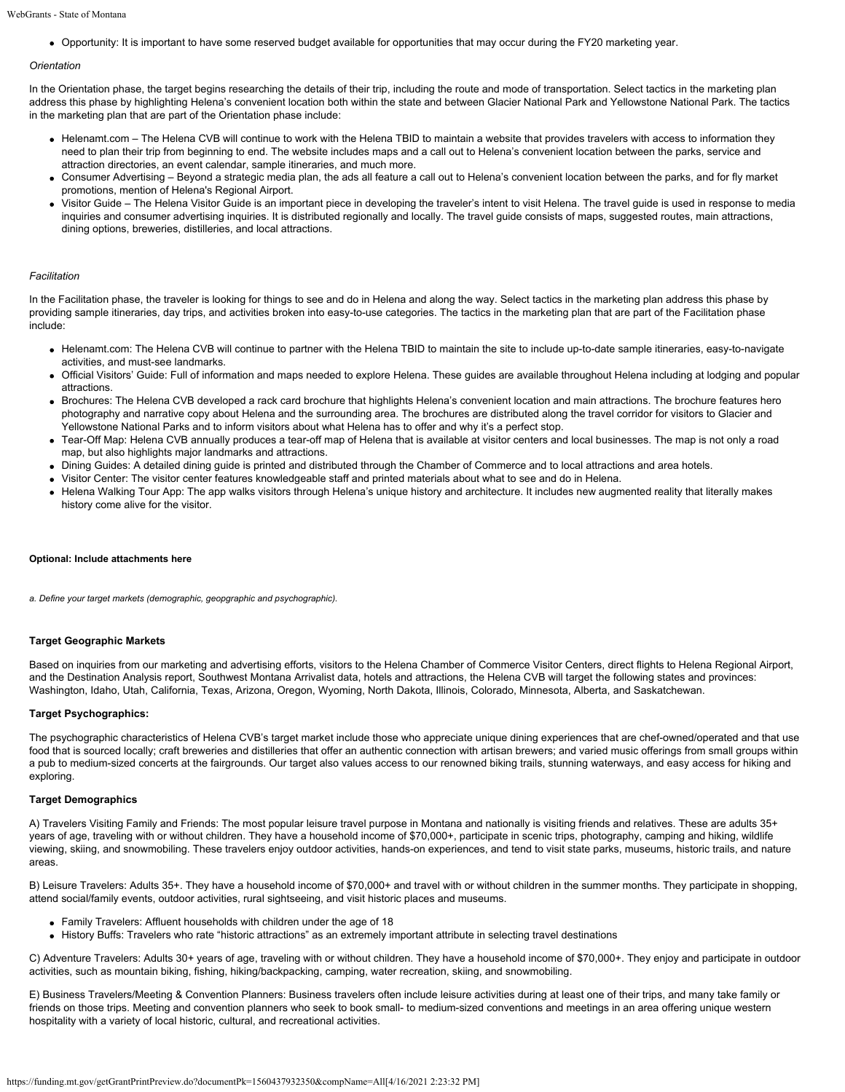Opportunity: It is important to have some reserved budget available for opportunities that may occur during the FY20 marketing year.

#### *Orientation*

In the Orientation phase, the target begins researching the details of their trip, including the route and mode of transportation. Select tactics in the marketing plan address this phase by highlighting Helena's convenient location both within the state and between Glacier National Park and Yellowstone National Park. The tactics in the marketing plan that are part of the Orientation phase include:

- Helenamt.com The Helena CVB will continue to work with the Helena TBID to maintain a website that provides travelers with access to information they need to plan their trip from beginning to end. The website includes maps and a call out to Helena's convenient location between the parks, service and attraction directories, an event calendar, sample itineraries, and much more.
- Consumer Advertising Beyond a strategic media plan, the ads all feature a call out to Helena's convenient location between the parks, and for fly market promotions, mention of Helena's Regional Airport.
- Visitor Guide The Helena Visitor Guide is an important piece in developing the traveler's intent to visit Helena. The travel guide is used in response to media inquiries and consumer advertising inquiries. It is distributed regionally and locally. The travel guide consists of maps, suggested routes, main attractions, dining options, breweries, distilleries, and local attractions.

#### *Facilitation*

In the Facilitation phase, the traveler is looking for things to see and do in Helena and along the way. Select tactics in the marketing plan address this phase by providing sample itineraries, day trips, and activities broken into easy-to-use categories. The tactics in the marketing plan that are part of the Facilitation phase include:

- Helenamt.com: The Helena CVB will continue to partner with the Helena TBID to maintain the site to include up-to-date sample itineraries, easy-to-navigate activities, and must-see landmarks.
- Official Visitors' Guide: Full of information and maps needed to explore Helena. These guides are available throughout Helena including at lodging and popular attractions.
- Brochures: The Helena CVB developed a rack card brochure that highlights Helena's convenient location and main attractions. The brochure features hero photography and narrative copy about Helena and the surrounding area. The brochures are distributed along the travel corridor for visitors to Glacier and Yellowstone National Parks and to inform visitors about what Helena has to offer and why it's a perfect stop.
- Tear-Off Map: Helena CVB annually produces a tear-off map of Helena that is available at visitor centers and local businesses. The map is not only a road map, but also highlights major landmarks and attractions.
- Dining Guides: A detailed dining guide is printed and distributed through the Chamber of Commerce and to local attractions and area hotels.
- Visitor Center: The visitor center features knowledgeable staff and printed materials about what to see and do in Helena.
- Helena Walking Tour App: The app walks visitors through Helena's unique history and architecture. It includes new augmented reality that literally makes history come alive for the visitor.

#### **Optional: Include attachments here**

*a. Define your target markets (demographic, geopgraphic and psychographic).*

#### **Target Geographic Markets**

Based on inquiries from our marketing and advertising efforts, visitors to the Helena Chamber of Commerce Visitor Centers, direct flights to Helena Regional Airport, and the Destination Analysis report, Southwest Montana Arrivalist data, hotels and attractions, the Helena CVB will target the following states and provinces: Washington, Idaho, Utah, California, Texas, Arizona, Oregon, Wyoming, North Dakota, Illinois, Colorado, Minnesota, Alberta, and Saskatchewan.

## **Target Psychographics:**

The psychographic characteristics of Helena CVB's target market include those who appreciate unique dining experiences that are chef-owned/operated and that use food that is sourced locally; craft breweries and distilleries that offer an authentic connection with artisan brewers; and varied music offerings from small groups within a pub to medium-sized concerts at the fairgrounds. Our target also values access to our renowned biking trails, stunning waterways, and easy access for hiking and exploring.

#### **Target Demographics**

A) Travelers Visiting Family and Friends: The most popular leisure travel purpose in Montana and nationally is visiting friends and relatives. These are adults 35+ years of age, traveling with or without children. They have a household income of \$70,000+, participate in scenic trips, photography, camping and hiking, wildlife viewing, skiing, and snowmobiling. These travelers enjoy outdoor activities, hands-on experiences, and tend to visit state parks, museums, historic trails, and nature areas.

B) Leisure Travelers: Adults 35+. They have a household income of \$70,000+ and travel with or without children in the summer months. They participate in shopping, attend social/family events, outdoor activities, rural sightseeing, and visit historic places and museums.

- Family Travelers: Affluent households with children under the age of 18
- History Buffs: Travelers who rate "historic attractions" as an extremely important attribute in selecting travel destinations

C) Adventure Travelers: Adults 30+ years of age, traveling with or without children. They have a household income of \$70,000+. They enjoy and participate in outdoor activities, such as mountain biking, fishing, hiking/backpacking, camping, water recreation, skiing, and snowmobiling.

E) Business Travelers/Meeting & Convention Planners: Business travelers often include leisure activities during at least one of their trips, and many take family or friends on those trips. Meeting and convention planners who seek to book small- to medium-sized conventions and meetings in an area offering unique western hospitality with a variety of local historic, cultural, and recreational activities.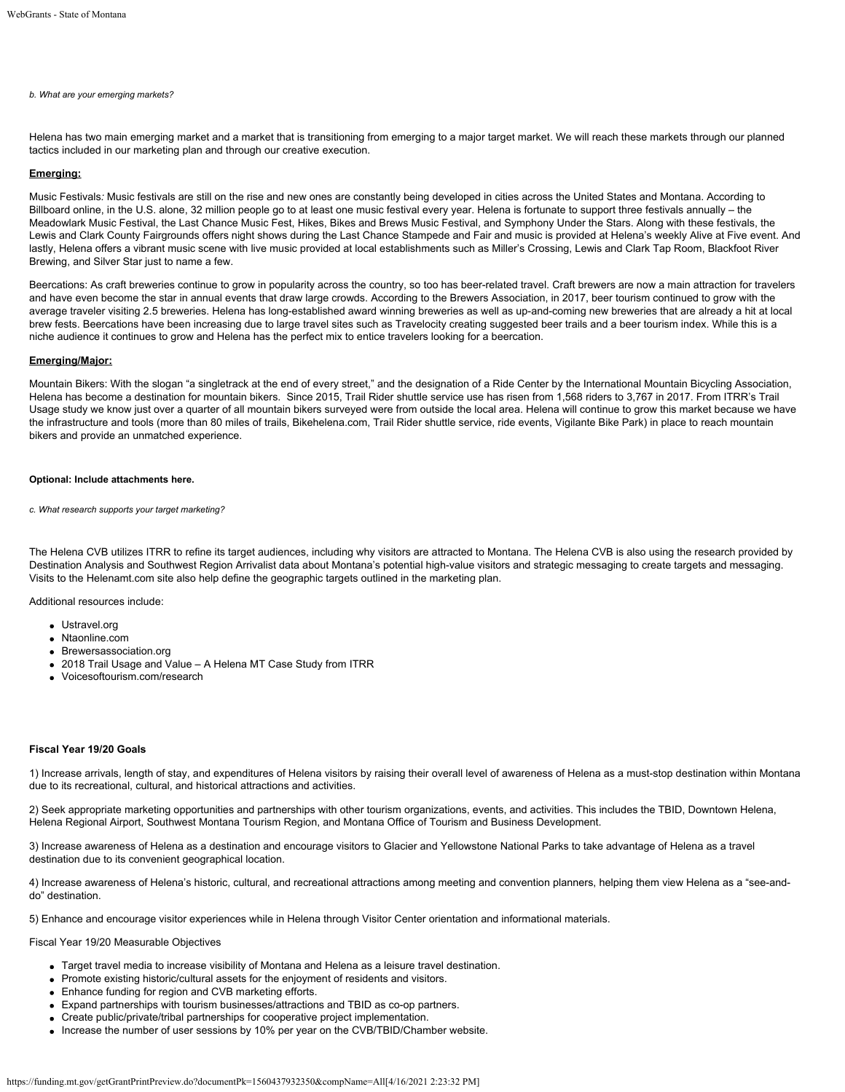### *b. What are your emerging markets?*

Helena has two main emerging market and a market that is transitioning from emerging to a major target market. We will reach these markets through our planned tactics included in our marketing plan and through our creative execution.

### **Emerging:**

Music Festivals*:* Music festivals are still on the rise and new ones are constantly being developed in cities across the United States and Montana. According to Billboard online, in the U.S. alone, 32 million people go to at least one music festival every year. Helena is fortunate to support three festivals annually – the Meadowlark Music Festival, the Last Chance Music Fest, Hikes, Bikes and Brews Music Festival, and Symphony Under the Stars. Along with these festivals, the Lewis and Clark County Fairgrounds offers night shows during the Last Chance Stampede and Fair and music is provided at Helena's weekly Alive at Five event. And lastly, Helena offers a vibrant music scene with live music provided at local establishments such as Miller's Crossing, Lewis and Clark Tap Room, Blackfoot River Brewing, and Silver Star just to name a few.

Beercations: As craft breweries continue to grow in popularity across the country, so too has beer-related travel. Craft brewers are now a main attraction for travelers and have even become the star in annual events that draw large crowds. According to the Brewers Association, in 2017, beer tourism continued to grow with the average traveler visiting 2.5 breweries. Helena has long-established award winning breweries as well as up-and-coming new breweries that are already a hit at local brew fests. Beercations have been increasing due to large travel sites such as Travelocity creating suggested beer trails and a beer tourism index. While this is a niche audience it continues to grow and Helena has the perfect mix to entice travelers looking for a beercation.

#### **Emerging/Major:**

Mountain Bikers: With the slogan "a singletrack at the end of every street," and the designation of a Ride Center by the International Mountain Bicycling Association, Helena has become a destination for mountain bikers. Since 2015, Trail Rider shuttle service use has risen from 1,568 riders to 3,767 in 2017. From ITRR's Trail Usage study we know just over a quarter of all mountain bikers surveyed were from outside the local area. Helena will continue to grow this market because we have the infrastructure and tools (more than 80 miles of trails, Bikehelena.com, Trail Rider shuttle service, ride events, Vigilante Bike Park) in place to reach mountain bikers and provide an unmatched experience.

#### **Optional: Include attachments here.**

*c. What research supports your target marketing?*

The Helena CVB utilizes ITRR to refine its target audiences, including why visitors are attracted to Montana. The Helena CVB is also using the research provided by Destination Analysis and Southwest Region Arrivalist data about Montana's potential high-value visitors and strategic messaging to create targets and messaging. Visits to the Helenamt.com site also help define the geographic targets outlined in the marketing plan.

Additional resources include:

- Ustravel.org
- Ntaonline.com
- Brewersassociation.org
- 2018 Trail Usage and Value A Helena MT Case Study from ITRR
- Voicesoftourism.com/research

#### **Fiscal Year 19/20 Goals**

1) Increase arrivals, length of stay, and expenditures of Helena visitors by raising their overall level of awareness of Helena as a must-stop destination within Montana due to its recreational, cultural, and historical attractions and activities.

2) Seek appropriate marketing opportunities and partnerships with other tourism organizations, events, and activities. This includes the TBID, Downtown Helena, Helena Regional Airport, Southwest Montana Tourism Region, and Montana Office of Tourism and Business Development.

3) Increase awareness of Helena as a destination and encourage visitors to Glacier and Yellowstone National Parks to take advantage of Helena as a travel destination due to its convenient geographical location.

4) Increase awareness of Helena's historic, cultural, and recreational attractions among meeting and convention planners, helping them view Helena as a "see-anddo" destination.

5) Enhance and encourage visitor experiences while in Helena through Visitor Center orientation and informational materials.

Fiscal Year 19/20 Measurable Objectives

- Target travel media to increase visibility of Montana and Helena as a leisure travel destination.
- Promote existing historic/cultural assets for the enjoyment of residents and visitors.
- Enhance funding for region and CVB marketing efforts.
- Expand partnerships with tourism businesses/attractions and TBID as co-op partners.
- Create public/private/tribal partnerships for cooperative project implementation.
- Increase the number of user sessions by 10% per year on the CVB/TBID/Chamber website.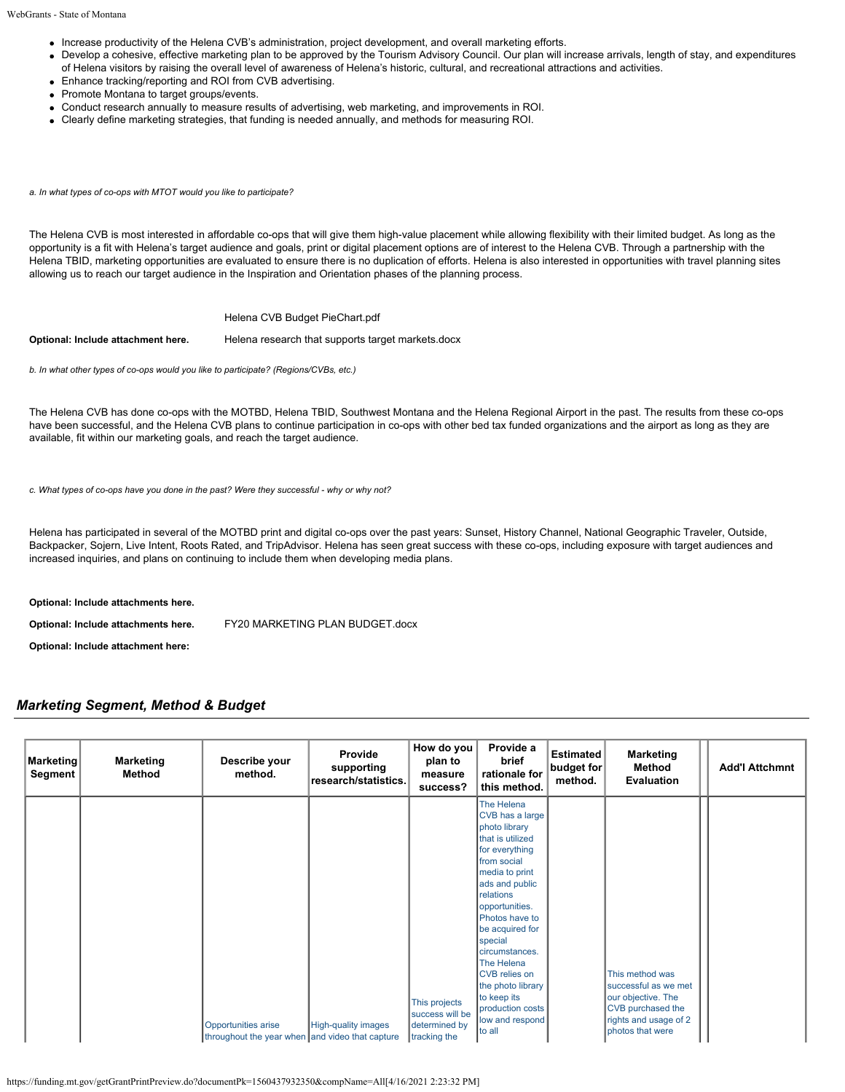- Increase productivity of the Helena CVB's administration, project development, and overall marketing efforts.
- Develop a cohesive, effective marketing plan to be approved by the Tourism Advisory Council. Our plan will increase arrivals, length of stay, and expenditures of Helena visitors by raising the overall level of awareness of Helena's historic, cultural, and recreational attractions and activities.
- Enhance tracking/reporting and ROI from CVB advertising.
- Promote Montana to target groups/events.
- Conduct research annually to measure results of advertising, web marketing, and improvements in ROI.
- Clearly define marketing strategies, that funding is needed annually, and methods for measuring ROI.

*a. In what types of co-ops with MTOT would you like to participate?*

The Helena CVB is most interested in affordable co-ops that will give them high-value placement while allowing flexibility with their limited budget. As long as the opportunity is a fit with Helena's target audience and goals, print or digital placement options are of interest to the Helena CVB. Through a partnership with the Helena TBID, marketing opportunities are evaluated to ensure there is no duplication of efforts. Helena is also interested in opportunities with travel planning sites allowing us to reach our target audience in the Inspiration and Orientation phases of the planning process.

[Helena CVB Budget PieChart.pdf](https://funding.mt.gov/fileDownload.jsp?filename=1557351334772_Helena+CVB+Budget+PieChart.pdf)

**Optional: Include attachment here.** [Helena research that supports target markets.docx](https://funding.mt.gov/fileDownload.jsp?filename=1556211793590_Helena+research+that+supports+target+markets.docx)

*b. In what other types of co-ops would you like to participate? (Regions/CVBs, etc.)*

The Helena CVB has done co-ops with the MOTBD, Helena TBID, Southwest Montana and the Helena Regional Airport in the past. The results from these co-ops have been successful, and the Helena CVB plans to continue participation in co-ops with other bed tax funded organizations and the airport as long as they are available, fit within our marketing goals, and reach the target audience.

*c. What types of co-ops have you done in the past? Were they successful - why or why not?*

Helena has participated in several of the MOTBD print and digital co-ops over the past years: Sunset, History Channel, National Geographic Traveler, Outside, Backpacker, Sojern, Live Intent, Roots Rated, and TripAdvisor. Helena has seen great success with these co-ops, including exposure with target audiences and increased inquiries, and plans on continuing to include them when developing media plans.

**Optional: Include attachments here.**

**Optional: Include attachments here.** [FY20 MARKETING PLAN BUDGET.docx](https://funding.mt.gov/fileDownload.jsp?filename=1556212362151_FY20+MARKETING+PLAN+BUDGET.docx)

**Optional: Include attachment here:**

## *Marketing Segment, Method & Budget*

| <b>Marketing</b><br>Segment | <b>Marketing</b><br>Method | Describe your<br>method.                                               | Provide<br>supporting<br>research/statistics. | How do you<br>plan to<br>measure<br>success?                      | Provide a<br>brief<br>rationale for<br>this method.                                                                                                                                                                                                                                                                                                                 | <b>Estimated</b><br>budget for<br>method. | <b>Marketing</b><br>Method<br>Evaluation                                                                                        | <b>Add'l Attchmnt</b> |
|-----------------------------|----------------------------|------------------------------------------------------------------------|-----------------------------------------------|-------------------------------------------------------------------|---------------------------------------------------------------------------------------------------------------------------------------------------------------------------------------------------------------------------------------------------------------------------------------------------------------------------------------------------------------------|-------------------------------------------|---------------------------------------------------------------------------------------------------------------------------------|-----------------------|
|                             |                            | Opportunities arise<br>throughout the year when and video that capture | <b>High-quality images</b>                    | This projects<br>success will be<br>determined by<br>tracking the | The Helena<br>CVB has a large<br>photo library<br>that is utilized<br>for everything<br>from social<br>media to print<br>ads and public<br>relations<br>opportunities.<br>Photos have to<br>be acquired for<br>special<br>circumstances.<br>The Helena<br><b>CVB</b> relies on<br>the photo library<br>to keep its<br>production costs<br>low and respond<br>to all |                                           | This method was<br>successful as we met<br>our objective. The<br>CVB purchased the<br>rights and usage of 2<br>photos that were |                       |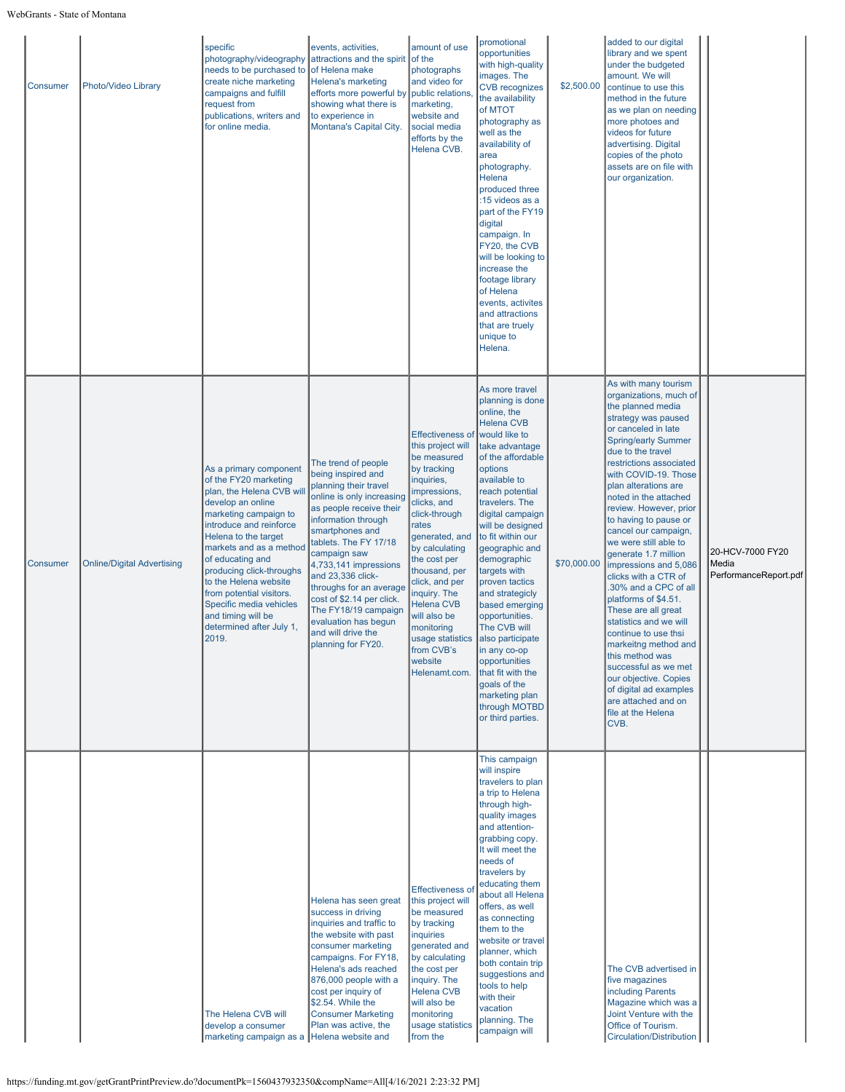| Consumer | Photo/Video Library               | specific<br>photography/videography<br>needs to be purchased to<br>create niche marketing<br>campaigns and fulfill<br>request from<br>publications, writers and<br>for online media.                                                                                                                                                                                                                | events, activities,<br>attractions and the spirit of the<br>of Helena make<br>Helena's marketing<br>efforts more powerful by public relations,<br>showing what there is<br>to experience in<br>Montana's Capital City.                                                                                                                                                                                          | amount of use<br>photographs<br>and video for<br>marketing,<br>website and<br>social media<br>efforts by the<br>Helena CVB.                                                                                                                                                                                                                                               | promotional<br>opportunities<br>with high-quality<br>images. The<br><b>CVB</b> recognizes<br>the availability<br>of MTOT<br>photography as<br>well as the<br>availability of<br>area<br>photography.<br>Helena<br>produced three<br>:15 videos as a<br>part of the FY19<br>digital<br>campaign. In<br>FY20, the CVB<br>will be looking to<br>increase the<br>footage library<br>of Helena<br>events, activites<br>and attractions<br>that are truely<br>unique to<br>Helena.                                                                            | \$2,500.00  | added to our digital<br>library and we spent<br>under the budgeted<br>amount. We will<br>continue to use this<br>method in the future<br>as we plan on needing<br>more photoes and<br>videos for future<br>advertising. Digital<br>copies of the photo<br>assets are on file with<br>our organization.                                                                                                                                                                                                                                                                                                                                                                                                                                                     |                                                    |
|----------|-----------------------------------|-----------------------------------------------------------------------------------------------------------------------------------------------------------------------------------------------------------------------------------------------------------------------------------------------------------------------------------------------------------------------------------------------------|-----------------------------------------------------------------------------------------------------------------------------------------------------------------------------------------------------------------------------------------------------------------------------------------------------------------------------------------------------------------------------------------------------------------|---------------------------------------------------------------------------------------------------------------------------------------------------------------------------------------------------------------------------------------------------------------------------------------------------------------------------------------------------------------------------|---------------------------------------------------------------------------------------------------------------------------------------------------------------------------------------------------------------------------------------------------------------------------------------------------------------------------------------------------------------------------------------------------------------------------------------------------------------------------------------------------------------------------------------------------------|-------------|------------------------------------------------------------------------------------------------------------------------------------------------------------------------------------------------------------------------------------------------------------------------------------------------------------------------------------------------------------------------------------------------------------------------------------------------------------------------------------------------------------------------------------------------------------------------------------------------------------------------------------------------------------------------------------------------------------------------------------------------------------|----------------------------------------------------|
| Consumer | <b>Online/Digital Advertising</b> | As a primary component<br>of the FY20 marketing<br>plan, the Helena CVB will<br>develop an online<br>marketing campaign to<br>introduce and reinforce<br>Helena to the target<br>markets and as a method<br>of educating and<br>producing click-throughs<br>to the Helena website<br>from potential visitors.<br>Specific media vehicles<br>and timing will be<br>determined after July 1,<br>2019. | The trend of people<br>being inspired and<br>planning their travel<br>online is only increasing<br>as people receive their<br>information through<br>smartphones and<br>tablets. The FY 17/18<br>campaign saw<br>4,733,141 impressions<br>and 23,336 click-<br>throughs for an average<br>cost of \$2.14 per click.<br>The FY18/19 campaign<br>evaluation has begun<br>and will drive the<br>planning for FY20. | <b>Effectiveness of</b><br>this project will<br>be measured<br>by tracking<br>inquiries,<br>impressions,<br>clicks, and<br>click-through<br>rates<br>generated, and<br>by calculating<br>the cost per<br>thousand, per<br>click, and per<br>inquiry. The<br><b>Helena CVB</b><br>will also be<br>monitoring<br>usage statistics<br>from CVB's<br>website<br>Helenamt.com. | As more travel<br>planning is done<br>online, the<br><b>Helena CVB</b><br>would like to<br>take advantage<br>of the affordable<br>options<br>available to<br>reach potential<br>travelers. The<br>digital campaign<br>will be designed<br>to fit within our<br>geographic and<br>demographic<br>targets with<br>proven tactics<br>and strategicly<br>based emerging<br>opportunities.<br>The CVB will<br>also participate<br>in any co-op<br>opportunities<br>that fit with the<br>goals of the<br>marketing plan<br>through MOTBD<br>or third parties. | \$70,000.00 | As with many tourism<br>organizations, much of<br>the planned media<br>strategy was paused<br>or canceled in late<br><b>Spring/early Summer</b><br>due to the travel<br>restrictions associated<br>with COVID-19. Those<br>plan alterations are<br>noted in the attached<br>review. However, prior<br>to having to pause or<br>cancel our campaign,<br>we were still able to<br>generate 1.7 million<br>impressions and 5,086<br>clicks with a CTR of<br>.30% and a CPC of all<br>platforms of \$4.51.<br>These are all great<br>statistics and we will<br>continue to use thsi<br>markeitng method and<br>this method was<br>successful as we met<br>our objective. Copies<br>of digital ad examples<br>are attached and on<br>file at the Helena<br>CVB. | 20-HCV-7000 FY20<br>Media<br>PerformanceReport.pdf |
|          |                                   | The Helena CVB will<br>develop a consumer<br>marketing campaign as a Helena website and                                                                                                                                                                                                                                                                                                             | Helena has seen great<br>success in driving<br>inquiries and traffic to<br>the website with past<br>consumer marketing<br>campaigns. For FY18,<br>Helena's ads reached<br>876,000 people with a<br>cost per inquiry of<br>\$2.54. While the<br><b>Consumer Marketing</b><br>Plan was active, the                                                                                                                | Effectiveness of<br>this project will<br>be measured<br>by tracking<br>inquiries<br>generated and<br>by calculating<br>the cost per<br>inquiry. The<br><b>Helena CVB</b><br>will also be<br>monitoring<br>usage statistics<br>from the                                                                                                                                    | This campaign<br>will inspire<br>travelers to plan<br>a trip to Helena<br>through high-<br>quality images<br>and attention-<br>grabbing copy.<br>It will meet the<br>needs of<br>travelers by<br>educating them<br>about all Helena<br>offers, as well<br>as connecting<br>them to the<br>website or travel<br>planner, which<br>both contain trip<br>suggestions and<br>tools to help<br>with their<br>vacation<br>planning. The<br>campaign will                                                                                                      |             | The CVB advertised in<br>five magazines<br>including Parents<br>Magazine which was a<br>Joint Venture with the<br>Office of Tourism.<br>Circulation/Distribution                                                                                                                                                                                                                                                                                                                                                                                                                                                                                                                                                                                           |                                                    |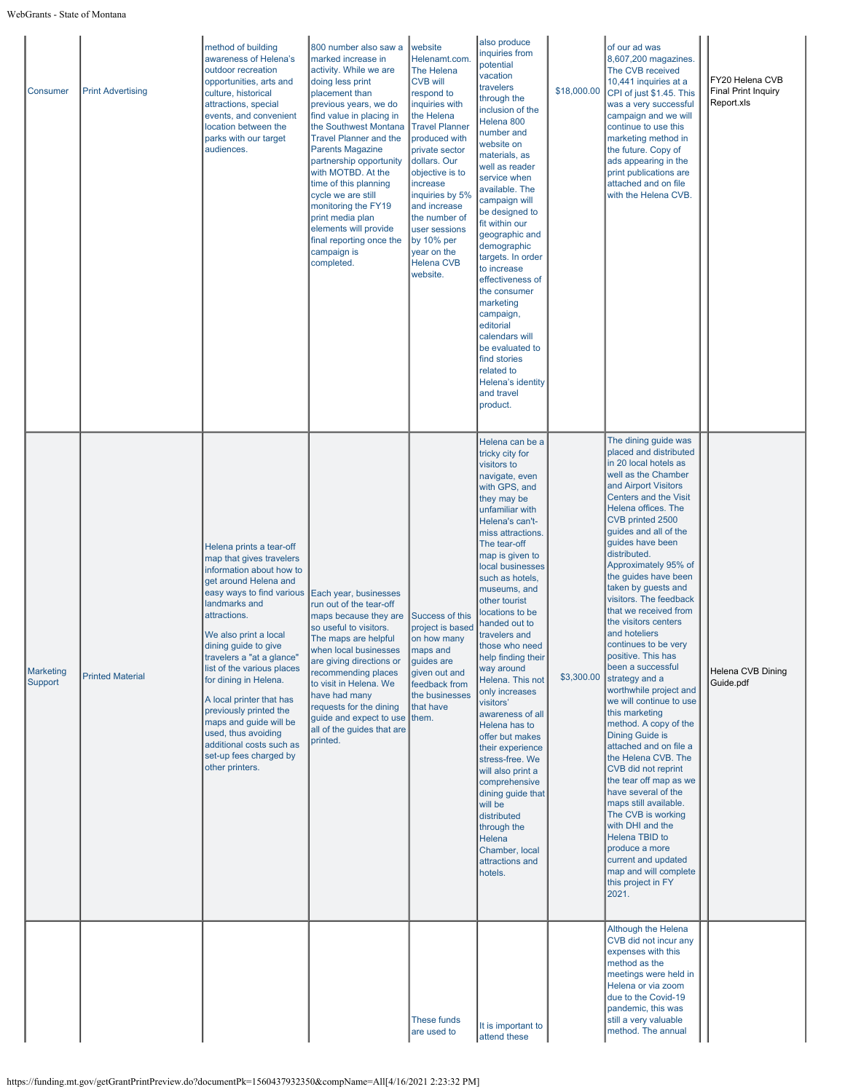| Consumer             | <b>Print Advertising</b> | method of building<br>awareness of Helena's<br>outdoor recreation<br>opportunities, arts and<br>culture, historical<br>attractions, special<br>events, and convenient<br>location between the<br>parks with our target<br>audiences.                                                                                                                                                                                                                                                         | 800 number also saw a<br>marked increase in<br>activity. While we are<br>doing less print<br>placement than<br>previous years, we do<br>find value in placing in<br>the Southwest Montana<br><b>Travel Planner and the</b><br><b>Parents Magazine</b><br>partnership opportunity<br>with MOTBD. At the<br>time of this planning<br>cycle we are still<br>monitoring the FY19<br>print media plan<br>elements will provide<br>final reporting once the<br>campaign is<br>completed. | website<br>Helenamt.com.<br>The Helena<br><b>CVB will</b><br>respond to<br>inquiries with<br>the Helena<br><b>Travel Planner</b><br>produced with<br>private sector<br>dollars. Our<br>objective is to<br>increase<br>inquiries by 5%<br>and increase<br>the number of<br>user sessions<br>by 10% per<br>year on the<br><b>Helena CVB</b><br>website. | also produce<br>inquiries from<br>potential<br>vacation<br>travelers<br>through the<br>inclusion of the<br>Helena 800<br>number and<br>website on<br>materials, as<br>well as reader<br>service when<br>available. The<br>campaign will<br>be designed to<br>fit within our<br>geographic and<br>demographic<br>targets. In order<br>to increase<br>effectiveness of<br>the consumer<br>marketing<br>campaign,<br>editorial<br>calendars will<br>be evaluated to<br>find stories<br>related to<br>Helena's identity<br>and travel<br>product.                                                                                                                                                        | \$18,000.00 | of our ad was<br>8,607,200 magazines.<br>The CVB received<br>10,441 inquiries at a<br>CPI of just \$1.45. This<br>was a very successful<br>campaign and we will<br>continue to use this<br>marketing method in<br>the future. Copy of<br>ads appearing in the<br>print publications are<br>attached and on file<br>with the Helena CVB.                                                                                                                                                                                                                                                                                                                                                                                                                                                                                                                                                                                                           | FY20 Helena CVB<br>Final Print Inquiry<br>Report.xls |
|----------------------|--------------------------|----------------------------------------------------------------------------------------------------------------------------------------------------------------------------------------------------------------------------------------------------------------------------------------------------------------------------------------------------------------------------------------------------------------------------------------------------------------------------------------------|------------------------------------------------------------------------------------------------------------------------------------------------------------------------------------------------------------------------------------------------------------------------------------------------------------------------------------------------------------------------------------------------------------------------------------------------------------------------------------|-------------------------------------------------------------------------------------------------------------------------------------------------------------------------------------------------------------------------------------------------------------------------------------------------------------------------------------------------------|------------------------------------------------------------------------------------------------------------------------------------------------------------------------------------------------------------------------------------------------------------------------------------------------------------------------------------------------------------------------------------------------------------------------------------------------------------------------------------------------------------------------------------------------------------------------------------------------------------------------------------------------------------------------------------------------------|-------------|---------------------------------------------------------------------------------------------------------------------------------------------------------------------------------------------------------------------------------------------------------------------------------------------------------------------------------------------------------------------------------------------------------------------------------------------------------------------------------------------------------------------------------------------------------------------------------------------------------------------------------------------------------------------------------------------------------------------------------------------------------------------------------------------------------------------------------------------------------------------------------------------------------------------------------------------------|------------------------------------------------------|
| Marketing<br>Support | <b>Printed Material</b>  | Helena prints a tear-off<br>map that gives travelers<br>information about how to<br>get around Helena and<br>easy ways to find various<br>landmarks and<br>attractions.<br>We also print a local<br>dining guide to give<br>travelers a "at a glance"<br>list of the various places<br>for dining in Helena.<br>A local printer that has<br>previously printed the<br>maps and guide will be<br>used, thus avoiding<br>additional costs such as<br>set-up fees charged by<br>other printers. | Each year, businesses<br>run out of the tear-off<br>maps because they are<br>so useful to visitors.<br>The maps are helpful<br>when local businesses<br>are giving directions or<br>recommending places<br>to visit in Helena. We<br>have had many<br>requests for the dining<br>guide and expect to use them.<br>all of the guides that are<br>printed.                                                                                                                           | Success of this<br>project is based<br>on how many<br>maps and<br>quides are<br>given out and<br>feedback from<br>the businesses<br>that have                                                                                                                                                                                                         | Helena can be a<br>tricky city for<br>visitors to<br>navigate, even<br>with GPS, and<br>they may be<br>unfamiliar with<br>Helena's can't-<br>miss attractions.<br>The tear-off<br>map is given to<br>local businesses<br>such as hotels,<br>museums, and<br>other tourist<br>locations to be<br>handed out to<br>travelers and<br>those who need<br>help finding their<br>way around<br>Helena. This not<br>only increases<br>visitors'<br>awareness of all<br>Helena has to<br>offer but makes<br>their experience<br>stress-free. We<br>will also print a<br>comprehensive<br>dining guide that<br>will be<br>distributed<br>through the<br>Helena<br>Chamber, local<br>attractions and<br>hotels. | \$3,300.00  | The dining guide was<br>placed and distributed<br>in 20 local hotels as<br>well as the Chamber<br>and Airport Visitors<br>Centers and the Visit<br>Helena offices. The<br>CVB printed 2500<br>guides and all of the<br>guides have been<br>distributed.<br>Approximately 95% of<br>the guides have been<br>taken by guests and<br>visitors. The feedback<br>that we received from<br>the visitors centers<br>and hoteliers<br>continues to be very<br>positive. This has<br>been a successful<br>strategy and a<br>worthwhile project and<br>we will continue to use<br>this marketing<br>method. A copy of the<br>Dining Guide is<br>attached and on file a<br>the Helena CVB. The<br>CVB did not reprint<br>the tear off map as we<br>have several of the<br>maps still available.<br>The CVB is working<br>with DHI and the<br>Helena TBID to<br>produce a more<br>current and updated<br>map and will complete<br>this project in FY<br>2021. | Helena CVB Dining<br>Guide.pdf                       |
|                      |                          |                                                                                                                                                                                                                                                                                                                                                                                                                                                                                              |                                                                                                                                                                                                                                                                                                                                                                                                                                                                                    | <b>These funds</b><br>are used to                                                                                                                                                                                                                                                                                                                     | It is important to<br>attend these                                                                                                                                                                                                                                                                                                                                                                                                                                                                                                                                                                                                                                                                   |             | Although the Helena<br>CVB did not incur any<br>expenses with this<br>method as the<br>meetings were held in<br>Helena or via zoom<br>due to the Covid-19<br>pandemic, this was<br>still a very valuable<br>method. The annual                                                                                                                                                                                                                                                                                                                                                                                                                                                                                                                                                                                                                                                                                                                    |                                                      |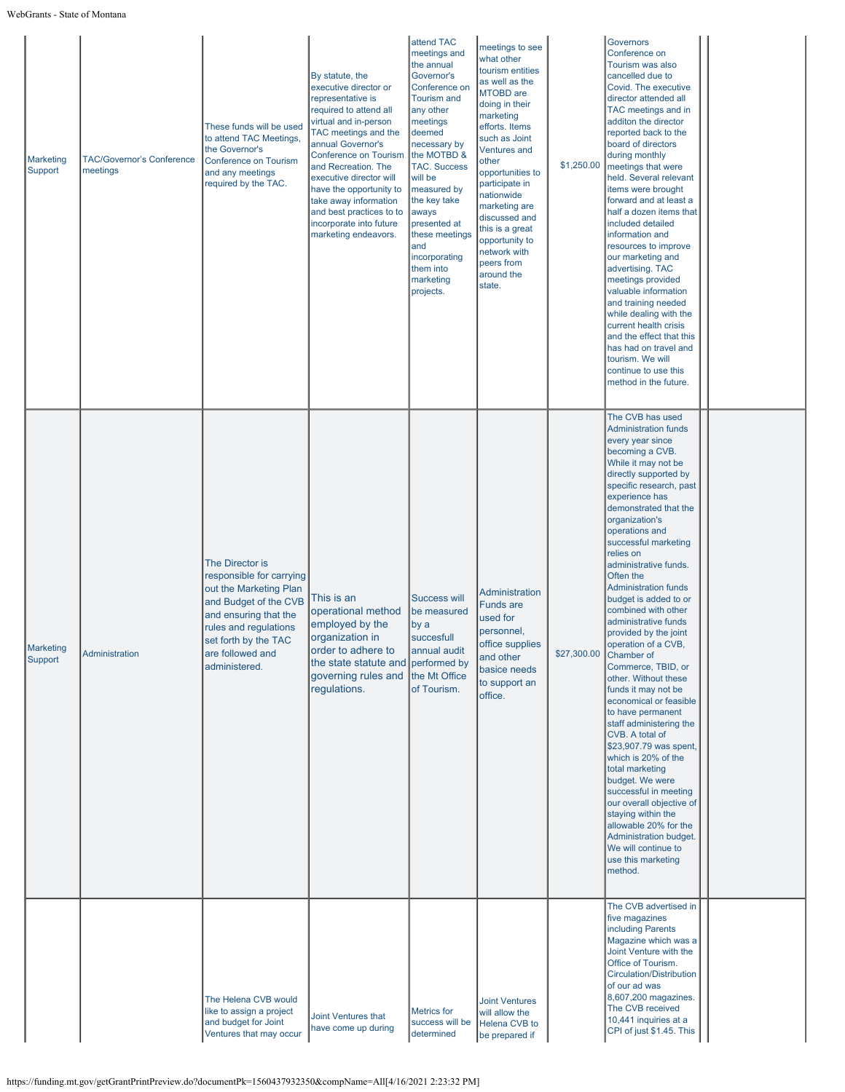| Marketing<br>Support        | <b>TAC/Governor's Conference</b><br>meetings | These funds will be used<br>to attend TAC Meetings,<br>the Governor's<br><b>Conference on Tourism</b><br>and any meetings<br>required by the TAC.                                                             | By statute, the<br>executive director or<br>representative is<br>required to attend all<br>virtual and in-person<br>TAC meetings and the<br>annual Governor's<br><b>Conference on Tourism</b><br>and Recreation. The<br>executive director will<br>have the opportunity to<br>take away information<br>and best practices to to<br>incorporate into future<br>marketing endeavors. | attend TAC<br>meetings and<br>the annual<br>Governor's<br>Conference on<br><b>Tourism and</b><br>any other<br>meetings<br>deemed<br>necessary by<br>the MOTBD &<br><b>TAC. Success</b><br>will be<br>measured by<br>the key take<br>aways<br>presented at<br>these meetings<br>and<br>incorporating<br>them into<br>marketing<br>projects. | meetings to see<br>what other<br>tourism entities<br>as well as the<br><b>MTOBD</b> are<br>doing in their<br>marketing<br>efforts. Items<br>such as Joint<br><b>Ventures and</b><br>other<br>opportunities to<br>participate in<br>nationwide<br>marketing are<br>discussed and<br>this is a great<br>opportunity to<br>network with<br>peers from<br>around the<br>state. | \$1,250.00  | Governors<br>Conference on<br>Tourism was also<br>cancelled due to<br>Covid. The executive<br>director attended all<br>TAC meetings and in<br>additon the director<br>reported back to the<br>board of directors<br>during monthly<br>meetings that were<br>held. Several relevant<br>items were brought<br>forward and at least a<br>half a dozen items that<br>included detailed<br>information and<br>resources to improve<br>our marketing and<br>advertising. TAC<br>meetings provided<br>valuable information<br>and training needed<br>while dealing with the<br>current health crisis<br>and the effect that this<br>has had on travel and<br>tourism. We will<br>continue to use this<br>method in the future.                                                                                                                                                                                                                         |  |
|-----------------------------|----------------------------------------------|---------------------------------------------------------------------------------------------------------------------------------------------------------------------------------------------------------------|------------------------------------------------------------------------------------------------------------------------------------------------------------------------------------------------------------------------------------------------------------------------------------------------------------------------------------------------------------------------------------|--------------------------------------------------------------------------------------------------------------------------------------------------------------------------------------------------------------------------------------------------------------------------------------------------------------------------------------------|----------------------------------------------------------------------------------------------------------------------------------------------------------------------------------------------------------------------------------------------------------------------------------------------------------------------------------------------------------------------------|-------------|-------------------------------------------------------------------------------------------------------------------------------------------------------------------------------------------------------------------------------------------------------------------------------------------------------------------------------------------------------------------------------------------------------------------------------------------------------------------------------------------------------------------------------------------------------------------------------------------------------------------------------------------------------------------------------------------------------------------------------------------------------------------------------------------------------------------------------------------------------------------------------------------------------------------------------------------------|--|
| <b>Marketing</b><br>Support | Administration                               | The Director is<br>responsible for carrying<br>out the Marketing Plan<br>and Budget of the CVB<br>and ensuring that the<br>rules and regulations<br>set forth by the TAC<br>are followed and<br>administered. | This is an<br>operational method<br>employed by the<br>organization in<br>order to adhere to<br>the state statute and<br>governing rules and<br>regulations.                                                                                                                                                                                                                       | <b>Success will</b><br>be measured<br>by a<br>succesfull<br>annual audit<br>performed by<br>the Mt Office<br>of Tourism.                                                                                                                                                                                                                   | <b>Administration</b><br><b>Funds are</b><br>used for<br>personnel,<br>office supplies<br>and other<br>basice needs<br>to support an<br>office.                                                                                                                                                                                                                            | \$27,300.00 | The CVB has used<br><b>Administration funds</b><br>every year since<br>becoming a CVB.<br>While it may not be<br>directly supported by<br>specific research, past<br>experience has<br>demonstrated that the<br>organization's<br>operations and<br>successful marketing<br>relies on<br>administrative funds.<br>Often the<br><b>Administration funds</b><br>budget is added to or<br>combined with other<br>administrative funds<br>provided by the joint<br>operation of a CVB,<br>Chamber of<br>Commerce, TBID, or<br>other. Without these<br>funds it may not be<br>economical or feasible<br>to have permanent<br>staff administering the<br>CVB. A total of<br>\$23,907.79 was spent,<br>which is 20% of the<br>total marketing<br>budget. We were<br>successful in meeting<br>our overall objective of<br>staying within the<br>allowable 20% for the<br>Administration budget.<br>We will continue to<br>use this marketing<br>method. |  |
|                             |                                              | The Helena CVB would<br>like to assign a project<br>and budget for Joint<br>Ventures that may occur                                                                                                           | Joint Ventures that<br>have come up during                                                                                                                                                                                                                                                                                                                                         | <b>Metrics</b> for<br>success will be<br>determined                                                                                                                                                                                                                                                                                        | <b>Joint Ventures</b><br>will allow the<br>Helena CVB to<br>be prepared if                                                                                                                                                                                                                                                                                                 |             | The CVB advertised in<br>five magazines<br>including Parents<br>Magazine which was a<br>Joint Venture with the<br>Office of Tourism.<br>Circulation/Distribution<br>of our ad was<br>8,607,200 magazines.<br>The CVB received<br>10,441 inquiries at a<br>CPI of just \$1.45. This                                                                                                                                                                                                                                                                                                                                                                                                                                                                                                                                                                                                                                                              |  |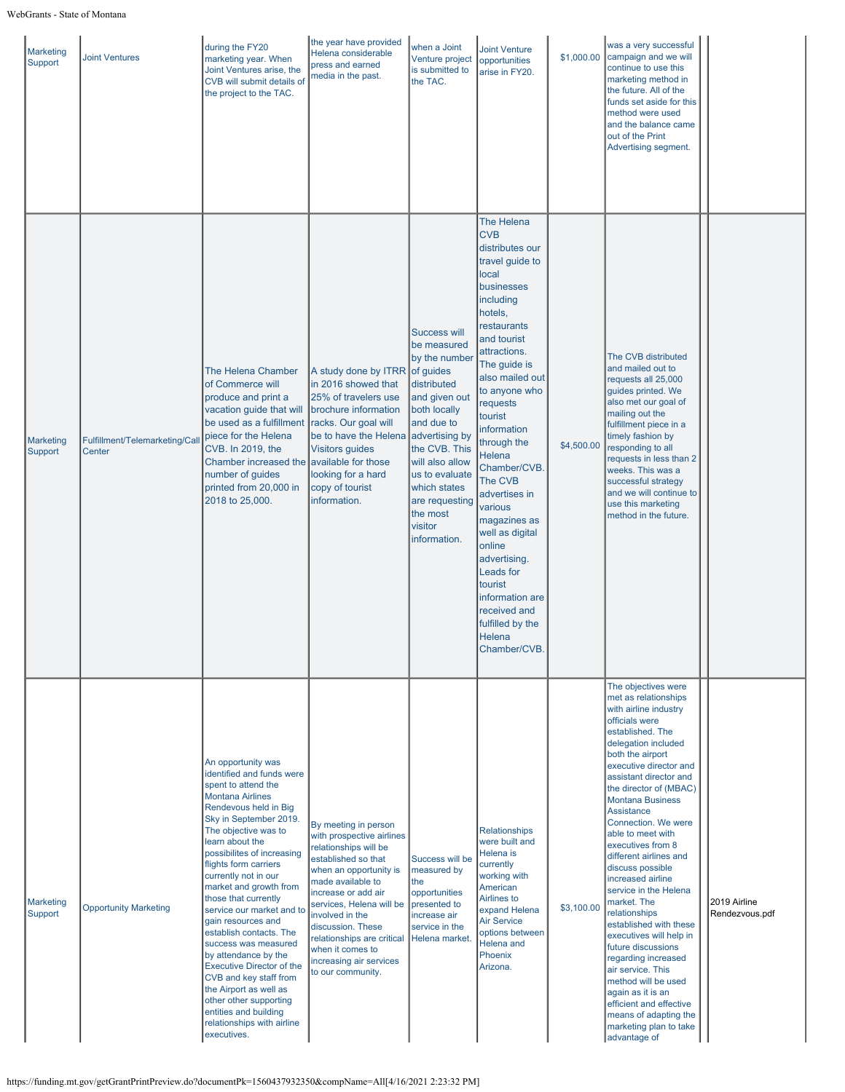| <b>Marketing</b><br>Support | <b>Joint Ventures</b>                    | during the FY20<br>marketing year. When<br>Joint Ventures arise, the<br>CVB will submit details of<br>the project to the TAC.                                                                                                                                                                                                                                                                                                                                                                                                                                                                                                                          | the year have provided<br>Helena considerable<br>press and earned<br>media in the past.                                                                                                                                                                                                                                                       | when a Joint<br>Venture project<br>is submitted to<br>the TAC.                                                                                                                                                                                   | <b>Joint Venture</b><br>opportunities<br>arise in FY20.                                                                                                                                                                                                                                                                                                                                                                                                                                                     | \$1,000.00 | was a very successful<br>campaign and we will<br>continue to use this<br>marketing method in<br>the future. All of the<br>funds set aside for this<br>method were used<br>and the balance came<br>out of the Print<br>Advertising segment.                                                                                                                                                                                                                                                                                                                                                                                                                                                                                                 |                                |
|-----------------------------|------------------------------------------|--------------------------------------------------------------------------------------------------------------------------------------------------------------------------------------------------------------------------------------------------------------------------------------------------------------------------------------------------------------------------------------------------------------------------------------------------------------------------------------------------------------------------------------------------------------------------------------------------------------------------------------------------------|-----------------------------------------------------------------------------------------------------------------------------------------------------------------------------------------------------------------------------------------------------------------------------------------------------------------------------------------------|--------------------------------------------------------------------------------------------------------------------------------------------------------------------------------------------------------------------------------------------------|-------------------------------------------------------------------------------------------------------------------------------------------------------------------------------------------------------------------------------------------------------------------------------------------------------------------------------------------------------------------------------------------------------------------------------------------------------------------------------------------------------------|------------|--------------------------------------------------------------------------------------------------------------------------------------------------------------------------------------------------------------------------------------------------------------------------------------------------------------------------------------------------------------------------------------------------------------------------------------------------------------------------------------------------------------------------------------------------------------------------------------------------------------------------------------------------------------------------------------------------------------------------------------------|--------------------------------|
| <b>Marketing</b><br>Support | Fulfillment/Telemarketing/Call<br>Center | The Helena Chamber<br>of Commerce will<br>produce and print a<br>vacation guide that will<br>be used as a fulfillment<br>piece for the Helena<br>CVB. In 2019, the<br>Chamber increased the available for those<br>number of guides<br>printed from 20,000 in<br>2018 to 25,000.                                                                                                                                                                                                                                                                                                                                                                       | A study done by ITRR of guides<br>in 2016 showed that<br>25% of travelers use<br>brochure information<br>racks. Our goal will<br>be to have the Helena advertising by<br><b>Visitors guides</b><br>looking for a hard<br>copy of tourist<br>information.                                                                                      | <b>Success will</b><br>be measured<br>by the number<br>distributed<br>and given out<br>both locally<br>and due to<br>the CVB. This<br>will also allow<br>us to evaluate<br>which states<br>are requesting<br>the most<br>visitor<br>information. | The Helena<br><b>CVB</b><br>distributes our<br>travel guide to<br>local<br>businesses<br>including<br>hotels,<br>restaurants<br>and tourist<br>attractions.<br>The guide is<br>also mailed out<br>to anyone who<br>requests<br>tourist<br>information<br>through the<br>Helena<br>Chamber/CVB.<br>The CVB<br>advertises in<br>various<br>magazines as<br>well as digital<br>online<br>advertising.<br>Leads for<br>tourist<br>information are<br>received and<br>fulfilled by the<br>Helena<br>Chamber/CVB. | \$4,500.00 | The CVB distributed<br>and mailed out to<br>requests all 25,000<br>guides printed. We<br>also met our goal of<br>mailing out the<br>fulfillment piece in a<br>timely fashion by<br>responding to all<br>requests in less than 2<br>weeks. This was a<br>successful strategy<br>and we will continue to<br>use this marketing<br>method in the future.                                                                                                                                                                                                                                                                                                                                                                                      |                                |
| <b>Marketing</b><br>Support | <b>Opportunity Marketing</b>             | An opportunity was<br>identified and funds were<br>spent to attend the<br><b>Montana Airlines</b><br>Rendevous held in Big<br>Sky in September 2019.<br>The objective was to<br>learn about the<br>possibilites of increasing<br>flights form carriers<br>currently not in our<br>market and growth from<br>those that currently<br>service our market and to<br>gain resources and<br>establish contacts. The<br>success was measured<br>by attendance by the<br><b>Executive Director of the</b><br>CVB and key staff from<br>the Airport as well as<br>other other supporting<br>entities and building<br>relationships with airline<br>executives. | By meeting in person<br>with prospective airlines<br>relationships will be<br>established so that<br>when an opportunity is<br>made available to<br>increase or add air<br>services, Helena will be<br>involved in the<br>discussion. These<br>relationships are critical<br>when it comes to<br>increasing air services<br>to our community. | Success will be<br>measured by<br>Ithe<br>opportunities<br>presented to<br>increase air<br>service in the<br>Helena market.                                                                                                                      | <b>Relationships</b><br>were built and<br>Helena is<br>currently<br>working with<br>American<br>Airlines to<br>expand Helena<br><b>Air Service</b><br>options between<br><b>Helena</b> and<br>Phoenix<br>Arizona.                                                                                                                                                                                                                                                                                           | \$3,100.00 | The objectives were<br>met as relationships<br>with airline industry<br>officials were<br>established. The<br>delegation included<br>both the airport<br>executive director and<br>assistant director and<br>the director of (MBAC)<br><b>Montana Business</b><br>Assistance<br>Connection. We were<br>able to meet with<br>executives from 8<br>different airlines and<br>discuss possible<br>increased airline<br>service in the Helena<br>market. The<br>relationships<br>established with these<br>executives will help in<br>future discussions<br>regarding increased<br>air service. This<br>method will be used<br>again as it is an<br>efficient and effective<br>means of adapting the<br>marketing plan to take<br>advantage of | 2019 Airline<br>Rendezvous.pdf |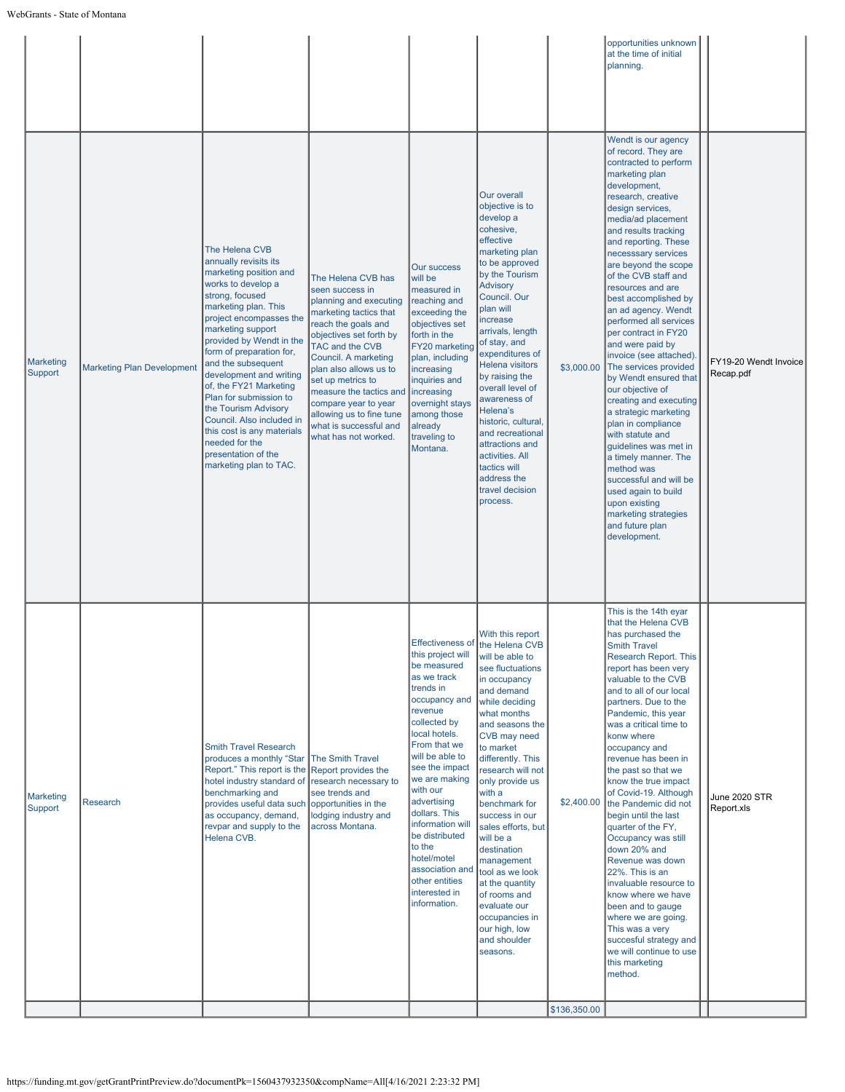|                             |                                   |                                                                                                                                                                                                                                                                                                                                                                                                                                                                                                       |                                                                                                                                                                                                                                                                                                                                                                        |                                                                                                                                                                                                                                                                                                                                                                                  |                                                                                                                                                                                                                                                                                                                                                                                                                                                                                                                          |              | opportunities unknown<br>at the time of initial<br>planning.                                                                                                                                                                                                                                                                                                                                                                                                                                                                                                                                                                                                                                                                                                                                                                     |                                    |
|-----------------------------|-----------------------------------|-------------------------------------------------------------------------------------------------------------------------------------------------------------------------------------------------------------------------------------------------------------------------------------------------------------------------------------------------------------------------------------------------------------------------------------------------------------------------------------------------------|------------------------------------------------------------------------------------------------------------------------------------------------------------------------------------------------------------------------------------------------------------------------------------------------------------------------------------------------------------------------|----------------------------------------------------------------------------------------------------------------------------------------------------------------------------------------------------------------------------------------------------------------------------------------------------------------------------------------------------------------------------------|--------------------------------------------------------------------------------------------------------------------------------------------------------------------------------------------------------------------------------------------------------------------------------------------------------------------------------------------------------------------------------------------------------------------------------------------------------------------------------------------------------------------------|--------------|----------------------------------------------------------------------------------------------------------------------------------------------------------------------------------------------------------------------------------------------------------------------------------------------------------------------------------------------------------------------------------------------------------------------------------------------------------------------------------------------------------------------------------------------------------------------------------------------------------------------------------------------------------------------------------------------------------------------------------------------------------------------------------------------------------------------------------|------------------------------------|
| <b>Marketing</b><br>Support | <b>Marketing Plan Development</b> | The Helena CVB<br>annually revisits its<br>marketing position and<br>works to develop a<br>strong, focused<br>marketing plan. This<br>project encompasses the<br>marketing support<br>provided by Wendt in the<br>form of preparation for,<br>and the subsequent<br>development and writing<br>of, the FY21 Marketing<br>Plan for submission to<br>the Tourism Advisory<br>Council. Also included in<br>this cost is any materials<br>needed for the<br>presentation of the<br>marketing plan to TAC. | The Helena CVB has<br>seen success in<br>planning and executing<br>marketing tactics that<br>reach the goals and<br>objectives set forth by<br>TAC and the CVB<br>Council. A marketing<br>plan also allows us to<br>set up metrics to<br>measure the tactics and<br>compare year to year<br>allowing us to fine tune<br>what is successful and<br>what has not worked. | <b>Our success</b><br>will be<br>measured in<br>reaching and<br>exceeding the<br>objectives set<br>forth in the<br>FY20 marketing<br>plan, including<br>increasing<br>inquiries and<br>increasing<br>overnight stays<br>among those<br>already<br>traveling to<br>Montana.                                                                                                       | Our overall<br>objective is to<br>develop a<br>cohesive,<br>effective<br>marketing plan<br>to be approved<br>by the Tourism<br><b>Advisory</b><br>Council. Our<br>plan will<br>increase<br>arrivals, length<br>of stay, and<br>expenditures of<br><b>Helena visitors</b><br>by raising the<br>overall level of<br>awareness of<br>Helena's<br>historic, cultural,<br>and recreational<br>attractions and<br>activities. All<br>tactics will<br>address the<br>travel decision<br>process.                                | \$3,000.00   | Wendt is our agency<br>of record. They are<br>contracted to perform<br>marketing plan<br>development,<br>research, creative<br>design services,<br>media/ad placement<br>and results tracking<br>and reporting. These<br>necesssary services<br>are beyond the scope<br>of the CVB staff and<br>resources and are<br>best accomplished by<br>an ad agency. Wendt<br>performed all services<br>per contract in FY20<br>and were paid by<br>invoice (see attached).<br>The services provided<br>by Wendt ensured that<br>our objective of<br>creating and executing<br>a strategic marketing<br>plan in compliance<br>with statute and<br>guidelines was met in<br>a timely manner. The<br>method was<br>successful and will be<br>used again to build<br>upon existing<br>marketing strategies<br>and future plan<br>development. | FY19-20 Wendt Invoice<br>Recap.pdf |
| Marketing<br>Support        | <b>Research</b>                   | <b>Smith Travel Research</b><br>produces a monthly "Star The Smith Travel<br>Report." This report is the<br>hotel industry standard of<br>benchmarking and<br>provides useful data such opportunities in the<br>as occupancy, demand,<br>revpar and supply to the<br>Helena CVB.                                                                                                                                                                                                                      | Report provides the<br>research necessary to<br>see trends and<br>lodging industry and<br>across Montana.                                                                                                                                                                                                                                                              | this project will<br>be measured<br>as we track<br>trends in<br>occupancy and<br>revenue<br>collected by<br>local hotels.<br>From that we<br>will be able to<br>see the impact<br>we are making<br>with our<br>advertising<br>dollars. This<br>information will<br>be distributed<br>to the<br>hotel/motel<br>association and<br>other entities<br>interested in<br>information. | With this report<br>Effectiveness of the Helena CVB<br>will be able to<br>see fluctuations<br>in occupancy<br>and demand<br>while deciding<br>what months<br>and seasons the<br>CVB may need<br>to market<br>differently. This<br>research will not<br>only provide us<br>with a<br>benchmark for<br>success in our<br>sales efforts, but<br>will be a<br>destination<br>management<br>tool as we look<br>at the quantity<br>of rooms and<br>evaluate our<br>occupancies in<br>our high, low<br>and shoulder<br>seasons. | \$2,400.00   | This is the 14th eyar<br>that the Helena CVB<br>has purchased the<br><b>Smith Travel</b><br>Research Report. This<br>report has been very<br>valuable to the CVB<br>and to all of our local<br>partners. Due to the<br>Pandemic, this year<br>was a critical time to<br>konw where<br>occupancy and<br>revenue has been in<br>the past so that we<br>know the true impact<br>of Covid-19. Although<br>the Pandemic did not<br>begin until the last<br>quarter of the FY,<br>Occupancy was still<br>down 20% and<br>Revenue was down<br>22%. This is an<br>invaluable resource to<br>know where we have<br>been and to gauge<br>where we are going.<br>This was a very<br>succesful strategy and<br>we will continue to use<br>this marketing<br>method.                                                                          | June 2020 STR<br>Report.xls        |
|                             |                                   |                                                                                                                                                                                                                                                                                                                                                                                                                                                                                                       |                                                                                                                                                                                                                                                                                                                                                                        |                                                                                                                                                                                                                                                                                                                                                                                  |                                                                                                                                                                                                                                                                                                                                                                                                                                                                                                                          | \$136,350.00 |                                                                                                                                                                                                                                                                                                                                                                                                                                                                                                                                                                                                                                                                                                                                                                                                                                  |                                    |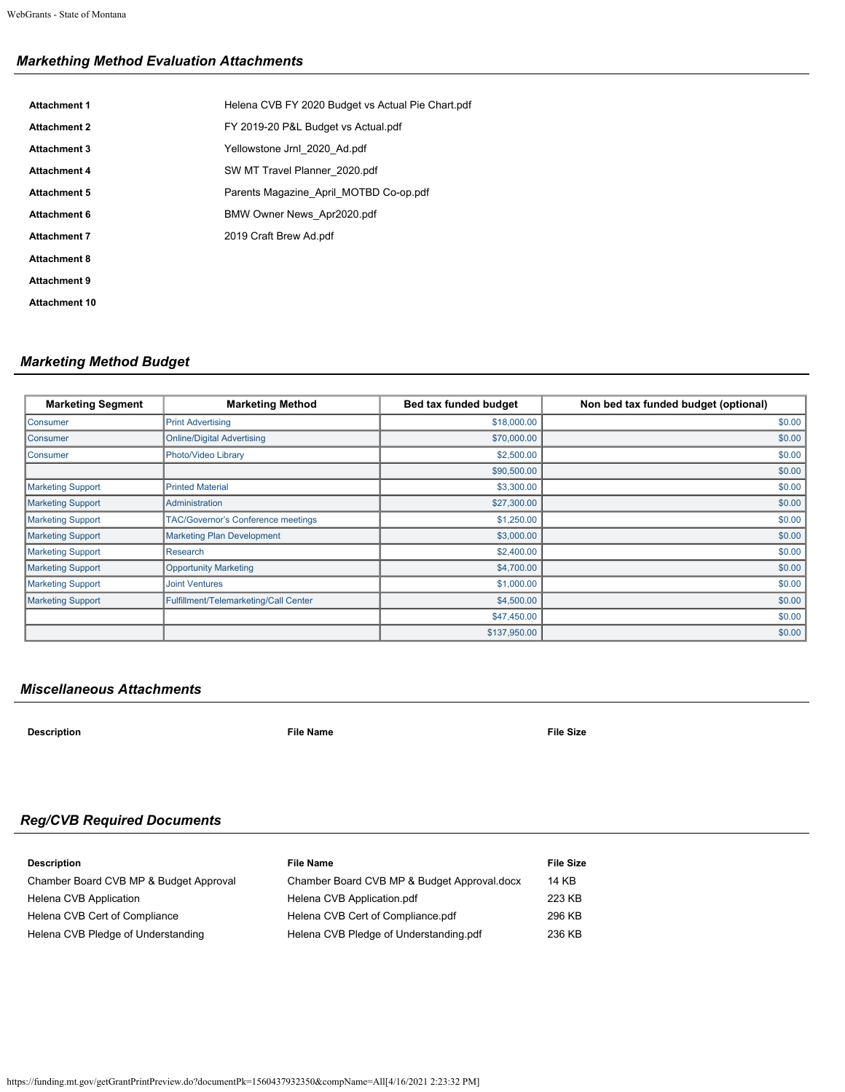# *Markething Method Evaluation Attachments*

| <b>Attachment 1</b>  | Helena CVB FY 2020 Budget vs Actual Pie Chart.pdf |
|----------------------|---------------------------------------------------|
| <b>Attachment 2</b>  | FY 2019-20 P&L Budget vs Actual.pdf               |
| <b>Attachment 3</b>  | Yellowstone Jrnl 2020 Ad.pdf                      |
| <b>Attachment 4</b>  | SW MT Travel Planner 2020.pdf                     |
| <b>Attachment 5</b>  | Parents Magazine April MOTBD Co-op.pdf            |
| Attachment 6         | BMW Owner News Apr2020.pdf                        |
| <b>Attachment 7</b>  | 2019 Craft Brew Ad.pdf                            |
| <b>Attachment 8</b>  |                                                   |
| <b>Attachment 9</b>  |                                                   |
| <b>Attachment 10</b> |                                                   |
|                      |                                                   |

# *Marketing Method Budget*

| <b>Marketing Segment</b> | <b>Marketing Method</b>                   | Bed tax funded budget | Non bed tax funded budget (optional) |
|--------------------------|-------------------------------------------|-----------------------|--------------------------------------|
| Consumer                 | <b>Print Advertising</b>                  | \$18,000.00           | \$0.00                               |
| Consumer                 | <b>Online/Digital Advertising</b>         | \$70,000.00           | \$0.00                               |
| Consumer                 | Photo/Video Library                       | \$2,500.00            | \$0.00                               |
|                          |                                           | \$90,500.00           | \$0.00                               |
| <b>Marketing Support</b> | <b>Printed Material</b>                   | \$3,300.00            | \$0.00                               |
| <b>Marketing Support</b> | Administration                            | \$27,300.00           | \$0.00                               |
| <b>Marketing Support</b> | <b>TAC/Governor's Conference meetings</b> | \$1,250.00            | \$0.00                               |
| <b>Marketing Support</b> | <b>Marketing Plan Development</b>         | \$3,000.00            | \$0.00                               |
| <b>Marketing Support</b> | Research                                  | \$2,400.00            | \$0.00                               |
| <b>Marketing Support</b> | <b>Opportunity Marketing</b>              | \$4,700.00            | \$0.00                               |
| <b>Marketing Support</b> | <b>Joint Ventures</b>                     | \$1,000.00            | \$0.00                               |
| <b>Marketing Support</b> | Fulfillment/Telemarketing/Call Center     | \$4,500.00            | \$0.00                               |
|                          |                                           | \$47,450.00           | \$0.00                               |
|                          |                                           | \$137,950.00          | \$0.00                               |

# *Miscellaneous Attachments*

**Description File Name File Size**

# *Reg/CVB Required Documents*

| <b>Description</b>                     | <b>File Name</b>                            | File Size |
|----------------------------------------|---------------------------------------------|-----------|
| Chamber Board CVB MP & Budget Approval | Chamber Board CVB MP & Budget Approval.docx | 14 KB     |
| Helena CVB Application                 | Helena CVB Application.pdf                  | 223 KB    |
| Helena CVB Cert of Compliance          | Helena CVB Cert of Compliance.pdf           | 296 KB    |
| Helena CVB Pledge of Understanding     | Helena CVB Pledge of Understanding.pdf      | 236 KB    |